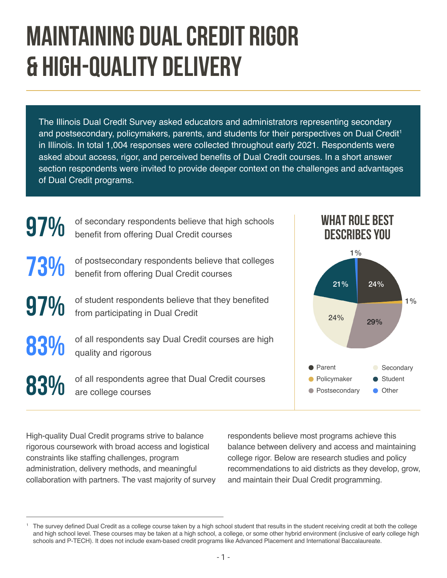# **MAINTAINING DUAL CREDIT RIGOR & HIGH-QUALITY DELIVERY**

The Illinois Dual Credit Survey asked educators and administrators representing secondary and postsecondary, policymakers, parents, and students for their perspectives on Dual Credit<sup>1</sup> in Illinois. In total 1,004 responses were collected throughout early 2021. Respondents were asked about access, rigor, and perceived benefits of Dual Credit courses. In a short answer section respondents were invited to provide deeper context on the challenges and advantages of Dual Credit programs.



High-quality Dual Credit programs strive to balance rigorous coursework with broad access and logistical constraints like staffing challenges, program administration, delivery methods, and meaningful collaboration with partners. The vast majority of survey respondents believe most programs achieve this balance between delivery and access and maintaining college rigor. Below are research studies and policy recommendations to aid districts as they develop, grow, and maintain their Dual Credit programming.

The survey defined Dual Credit as a college course taken by a high school student that results in the student receiving credit at both the college and high school level. These courses may be taken at a high school, a college, or some other hybrid environment (inclusive of early college high schools and P-TECH). It does not include exam-based credit programs like Advanced Placement and International Baccalaureate.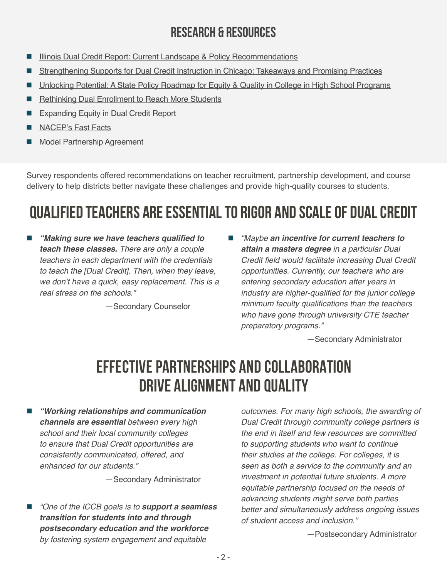#### **RESEARCH & RESOURCES**

- [Illinois Dual Credit Report: Current Landscape & Policy Recommendations](https://www.ilacep.com/illinois-dual-credit-report)
- [Strengthening Supports for Dual Credit Instruction in Chicago: Takeaways and Promising Practices](https://edsystemsniu.org/wp-content/uploads/2022/03/CCC-Dual-Credit-20211103O.pdf)
- [Unlocking Potential: A State Policy Roadmap for Equity & Quality in College in High School Programs](https://static1.squarespace.com/static/589d0f90ff7c507ac483988e/t/5dc9ba08e23407334f727b8c/1573501460447/UNLOCKING+POTENTIAL+-+A+State+Policy+Roadmap+for+Equity+and+Quality+in+College+in+High+School+Programs-4.pdf)
- [Rethinking Dual Enrollment to Reach More Students](https://www.ecs.org/wp-content/uploads/Rethinking_Dual_Enrollment_to_Reach_More_Students.pdf)
- [Expanding Equity in Dual Credit Report](https://dualcreditequity.org/)
- [NACEP's Fast Facts](https://www.nacep.org/resource-center/nacep-fast-facts/)
- [Model Partnership Agreement](https://www.isbe.net/Documents/DCQA-Model-Partnership-Agreement-Form.pdf)

Survey respondents offered recommendations on teacher recruitment, partnership development, and course delivery to help districts better navigate these challenges and provide high-quality courses to students.

# **QUALIFIED TEACHERS ARE ESSENTIAL TO RIGOR AND SCALE OF DUAL CREDIT**

 **"Making sure we have teachers qualified to teach these classes.** *There are only a couple teachers in each department with the credentials to teach the [Dual Credit]. Then, when they leave,*  we don't have a quick, easy replacement. This is a *real stress on the schools."*

—Secondary Counselor

■ *"Maybe an incentive for current teachers to* **attain a masters degree** *in a particular Dual*  Credit field would facilitate increasing Dual Credit *opportunities. Currently, our teachers who are*  entering secondary education after years in industry are higher-qualified for the junior college minimum faculty qualifications than the teachers who have gone through university CTE teacher preparatory programs."

—Secondary Administrator

## **EFFECTIVE PARTNERSHIPS AND COLLABORATION DRIVE ALIGNMENT AND QUALITY**

 **"Working relationships and communication channels are essential** between every high school and their local community colleges *to ensure that Dual Credit opportunities are*  consistently communicated, offered, and enhanced for our students."

—Secondary Administrator

 "One of the ICCB goals is to **support a seamless transition for students into and through postsecondary education and the workforce**  by fostering system engagement and equitable

outcomes. For many high schools, the awarding of Dual Credit through community college partners is the end in itself and few resources are committed to supporting students who want to continue their studies at the college. For colleges, it is *seen as both a service to the community and an*  investment in potential future students. A more equitable partnership focused on the needs of advancing students might serve both parties better and simultaneously address ongoing issues of student access and inclusion."

—Postsecondary Administrator